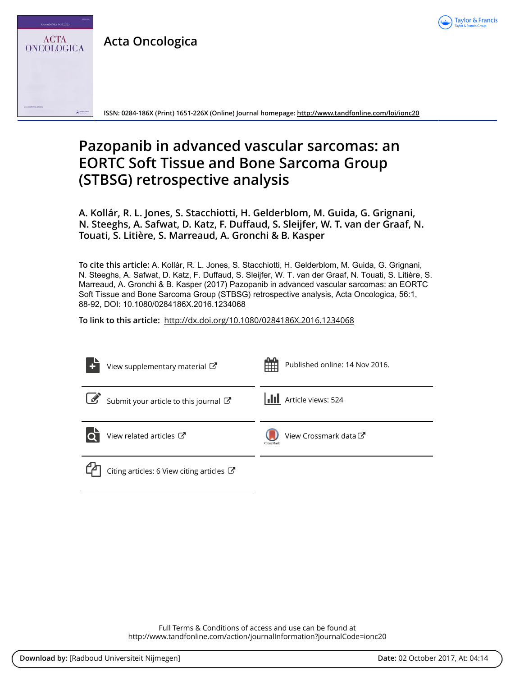

**Acta Oncologica**

54/ Nos 7-10/2015

**ACTA ONCOLOGICA** 

**ISSN: 0284-186X (Print) 1651-226X (Online) Journal homepage:<http://www.tandfonline.com/loi/ionc20>**

# **Pazopanib in advanced vascular sarcomas: an EORTC Soft Tissue and Bone Sarcoma Group (STBSG) retrospective analysis**

**A. Kollár, R. L. Jones, S. Stacchiotti, H. Gelderblom, M. Guida, G. Grignani, N. Steeghs, A. Safwat, D. Katz, F. Duffaud, S. Sleijfer, W. T. van der Graaf, N. Touati, S. Litière, S. Marreaud, A. Gronchi & B. Kasper**

**To cite this article:** A. Kollár, R. L. Jones, S. Stacchiotti, H. Gelderblom, M. Guida, G. Grignani, N. Steeghs, A. Safwat, D. Katz, F. Duffaud, S. Sleijfer, W. T. van der Graaf, N. Touati, S. Litière, S. Marreaud, A. Gronchi & B. Kasper (2017) Pazopanib in advanced vascular sarcomas: an EORTC Soft Tissue and Bone Sarcoma Group (STBSG) retrospective analysis, Acta Oncologica, 56:1, 88-92, DOI: [10.1080/0284186X.2016.1234068](http://www.tandfonline.com/action/showCitFormats?doi=10.1080/0284186X.2016.1234068)

**To link to this article:** <http://dx.doi.org/10.1080/0284186X.2016.1234068>

|                       | View supplementary material C             | Published online: 14 Nov 2016.                |
|-----------------------|-------------------------------------------|-----------------------------------------------|
| $\boxed{\mathscr{L}}$ | Submit your article to this journal       | <b>III</b> Article views: 524                 |
|                       | View related articles C                   | View Crossmark data <sup>C</sup><br>CrossMark |
|                       | Citing articles: 6 View citing articles C |                                               |

Full Terms & Conditions of access and use can be found at <http://www.tandfonline.com/action/journalInformation?journalCode=ionc20>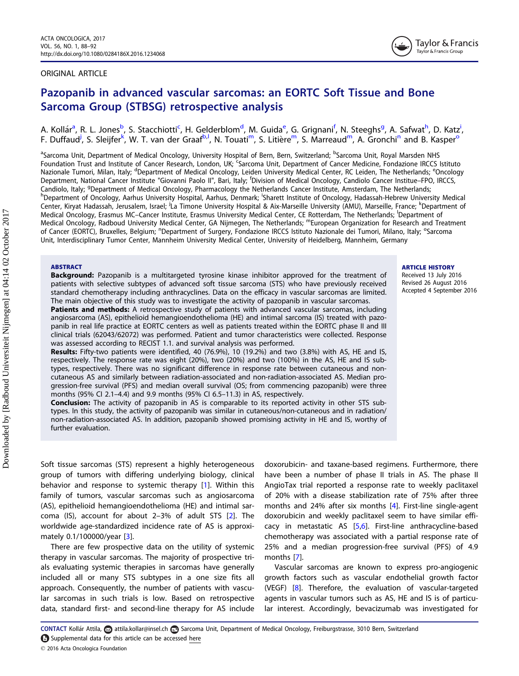# <span id="page-1-0"></span>ORIGINAL ARTICLE



# Pazopanib in advanced vascular sarcomas: an EORTC Soft Tissue and Bone Sarcoma Group (STBSG) retrospective analysis

A. Kollár<sup>a</sup>, R. L. Jones<sup>b</sup>, S. Stacchiotti<sup>c</sup>, H. Gelderblom<sup>d</sup>, M. Guida<sup>e</sup>, G. Grignani<sup>f</sup>, N. Steeghs<sup>g</sup>, A. Safwat<sup>h</sup>, D. Katz<sup>i</sup>, F. Duffaud<sup>j</sup>, S. Sleijfer<sup>k</sup>, W. T. van der Graaf<sup>b, I</sup>, N. Touati<sup>m</sup>, S. Litière<sup>m</sup>, S. Marreaud<sup>m</sup>, A. Gronchi<sup>n</sup> and B. Kasper<sup>o</sup>

<sup>a</sup>Sarcoma Unit, Department of Medical Oncology, University Hospital of Bern, Bern, Switzerland; <sup>b</sup>Sarcoma Unit, Royal Marsden NHS Foundation Trust and Institute of Cancer Research, London, UK; Sarcoma Unit, Department of Cancer Medicine, Fondazione IRCCS Istituto Nazionale Tumori, Milan, Italy; <sup>d</sup>Department of Medical Oncology, Leiden University Medical Center, RC Leiden, The Netherlands; <sup>e</sup>Oncology Department, National Cancer Institute "Giovanni Paolo II", Bari, Italy; <sup>f</sup>Division of Medical Oncology, Candiolo Cancer Institue–FPO, IRCCS, Candiolo, Italy; <sup>g</sup>Department of Medical Oncology, Pharmacology the Netherlands Cancer Institute, Amsterdam, The Netherlands;<br><sup>h</sup>Department of Oncology, Aarbus University Hospital, Aarbus, Depmark: <sup>I</sup>Sharett Institute of Department of Oncology, Aarhus University Hospital, Aarhus, Denmark; Sharett Institute of Oncology, Hadassah-Hebrew University Medical Center, Kiryat Hadassah, Jerusalem, Israel; <sup>J</sup>La Timone University Hospital & Aix-Marseille University (AMU), Marseille, France; <sup>k</sup>Department of Medical Oncology, Erasmus MC-Cancer Institute, Erasmus University Medical Center, CE Rotterdam, The Netherlands; Department of Medical Oncology, Radboud University Medical Center, GA Nijmegen, The Netherlands; "European Organization for Research and Treatment of Cancer (EORTC), Bruxelles, Belgium; <sup>n</sup>Department of Surgery, Fondazione IRCCS Istituto Nazionale dei Tumori, Milano, Italy; <sup>o</sup>Sarcoma Unit, Interdisciplinary Tumor Center, Mannheim University Medical Center, University of Heidelberg, Mannheim, Germany

#### ABSTRACT

**Background:** Pazopanib is a multitargeted tyrosine kinase inhibitor approved for the treatment of patients with selective subtypes of advanced soft tissue sarcoma (STS) who have previously received standard chemotherapy including anthracyclines. Data on the efficacy in vascular sarcomas are limited. The main objective of this study was to investigate the activity of pazopanib in vascular sarcomas.

Patients and methods: A retrospective study of patients with advanced vascular sarcomas, including angiosarcoma (AS), epithelioid hemangioendothelioma (HE) and intimal sarcoma (IS) treated with pazopanib in real life practice at EORTC centers as well as patients treated within the EORTC phase II and III clinical trials (62043/62072) was performed. Patient and tumor characteristics were collected. Response was assessed according to RECIST 1.1. and survival analysis was performed.

Results: Fifty-two patients were identified, 40 (76.9%), 10 (19.2%) and two (3.8%) with AS, HE and IS, respectively. The response rate was eight (20%), two (20%) and two (100%) in the AS, HE and IS subtypes, respectively. There was no significant difference in response rate between cutaneous and noncutaneous AS and similarly between radiation-associated and non-radiation-associated AS. Median progression-free survival (PFS) and median overall survival (OS; from commencing pazopanib) were three months (95% CI 2.1–4.4) and 9.9 months (95% CI 6.5–11.3) in AS, respectively.

**Conclusion:** The activity of pazopanib in AS is comparable to its reported activity in other STS subtypes. In this study, the activity of pazopanib was similar in cutaneous/non-cutaneous and in radiation/ non-radiation-associated AS. In addition, pazopanib showed promising activity in HE and IS, worthy of further evaluation.

# ARTICLE HISTORY

Received 13 July 2016 Revised 26 August 2016 Accepted 4 September 2016

Soft tissue sarcomas (STS) represent a highly heterogeneous group of tumors with differing underlying biology, clinical behavior and response to systemic therapy [\[1\]](#page-4-0). Within this family of tumors, vascular sarcomas such as angiosarcoma (AS), epithelioid hemangioendothelioma (HE) and intimal sarcoma (IS), account for about 2–3% of adult STS [[2\]](#page-4-0). The worldwide age-standardized incidence rate of AS is approximately 0.1/100000/year [[3\]](#page-4-0).

There are few prospective data on the utility of systemic therapy in vascular sarcomas. The majority of prospective trials evaluating systemic therapies in sarcomas have generally included all or many STS subtypes in a one size fits all approach. Consequently, the number of patients with vascular sarcomas in such trials is low. Based on retrospective data, standard first- and second-line therapy for AS include doxorubicin- and taxane-based regimens. Furthermore, there have been a number of phase II trials in AS. The phase II AngioTax trial reported a response rate to weekly paclitaxel of 20% with a disease stabilization rate of 75% after three months and 24% after six months [\[4](#page-5-0)]. First-line single-agent doxorubicin and weekly paclitaxel seem to have similar efficacy in metastatic AS [[5,6](#page-5-0)]. First-line anthracycline-based chemotherapy was associated with a partial response rate of 25% and a median progression-free survival (PFS) of 4.9 months [\[7\]](#page-5-0).

Vascular sarcomas are known to express pro-angiogenic growth factors such as vascular endothelial growth factor (VEGF) [\[8](#page-5-0)]. Therefore, the evaluation of vascular-targeted agents in vascular tumors such as AS, HE and IS is of particular interest. Accordingly, bevacizumab was investigated for

CONTACT Kollár Attila, a attila.kollar@insel.ch a Sarcoma Unit, Department of Medical Oncology, Freiburgstrasse, 3010 Bern, Switzerland Supplemental data for this article can be accesse[d here](http://dx.doi.org/10.1080/0284186X.2016.1234068)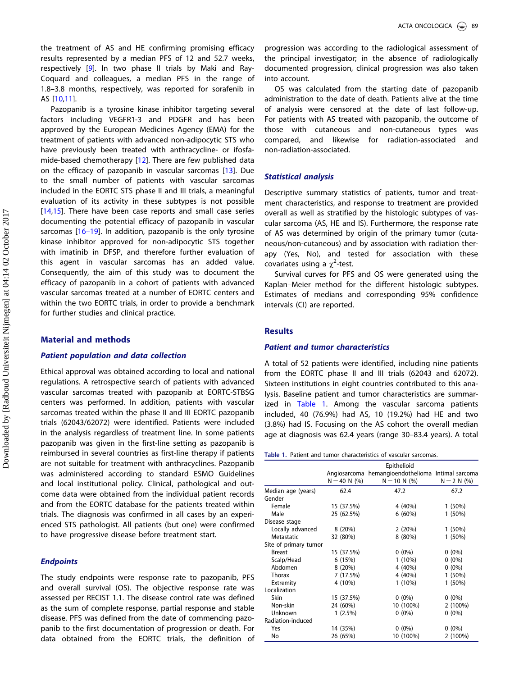<span id="page-2-0"></span>the treatment of AS and HE confirming promising efficacy results represented by a median PFS of 12 and 52.7 weeks, respectively [[9\]](#page-5-0). In two phase II trials by Maki and Ray-Coquard and colleagues, a median PFS in the range of 1.8–3.8 months, respectively, was reported for sorafenib in AS [\[10,11](#page-5-0)].

Pazopanib is a tyrosine kinase inhibitor targeting several factors including VEGFR1-3 and PDGFR and has been approved by the European Medicines Agency (EMA) for the treatment of patients with advanced non-adipocytic STS who have previously been treated with anthracycline- or ifosfamide-based chemotherapy [[12](#page-5-0)]. There are few published data on the efficacy of pazopanib in vascular sarcomas [[13\]](#page-5-0). Due to the small number of patients with vascular sarcomas included in the EORTC STS phase II and III trials, a meaningful evaluation of its activity in these subtypes is not possible [[14,15\]](#page-5-0). There have been case reports and small case series documenting the potential efficacy of pazopanib in vascular sarcomas [\[16](#page-5-0)–19]. In addition, pazopanib is the only tyrosine kinase inhibitor approved for non-adipocytic STS together with imatinib in DFSP, and therefore further evaluation of this agent in vascular sarcomas has an added value. Consequently, the aim of this study was to document the efficacy of pazopanib in a cohort of patients with advanced vascular sarcomas treated at a number of EORTC centers and within the two EORTC trials, in order to provide a benchmark for further studies and clinical practice.

# Material and methods

### Patient population and data collection

Ethical approval was obtained according to local and national regulations. A retrospective search of patients with advanced vascular sarcomas treated with pazopanib at EORTC-STBSG centers was performed. In addition, patients with vascular sarcomas treated within the phase II and III EORTC pazopanib trials (62043/62072) were identified. Patients were included in the analysis regardless of treatment line. In some patients pazopanib was given in the first-line setting as pazopanib is reimbursed in several countries as first-line therapy if patients are not suitable for treatment with anthracyclines. Pazopanib was administered according to standard ESMO Guidelines and local institutional policy. Clinical, pathological and outcome data were obtained from the individual patient records and from the EORTC database for the patients treated within trials. The diagnosis was confirmed in all cases by an experienced STS pathologist. All patients (but one) were confirmed to have progressive disease before treatment start.

# **Endpoints**

The study endpoints were response rate to pazopanib, PFS and overall survival (OS). The objective response rate was assessed per RECIST 1.1. The disease control rate was defined as the sum of complete response, partial response and stable disease. PFS was defined from the date of commencing pazopanib to the first documentation of progression or death. For data obtained from the EORTC trials, the definition of progression was according to the radiological assessment of the principal investigator; in the absence of radiologically documented progression, clinical progression was also taken into account.

OS was calculated from the starting date of pazopanib administration to the date of death. Patients alive at the time of analysis were censored at the date of last follow-up. For patients with AS treated with pazopanib, the outcome of those with cutaneous and non-cutaneous types was compared, and likewise for radiation-associated and non-radiation-associated.

# Statistical analysis

Descriptive summary statistics of patients, tumor and treatment characteristics, and response to treatment are provided overall as well as stratified by the histologic subtypes of vascular sarcoma (AS, HE and IS). Furthermore, the response rate of AS was determined by origin of the primary tumor (cutaneous/non-cutaneous) and by association with radiation therapy (Yes, No), and tested for association with these covariates using a  $\chi^2$ -test.

Survival curves for PFS and OS were generated using the Kaplan–Meier method for the different histologic subtypes. Estimates of medians and corresponding 95% confidence intervals (CI) are reported.

# **Results**

# Patient and tumor characteristics

A total of 52 patients were identified, including nine patients from the EORTC phase II and III trials (62043 and 62072). Sixteen institutions in eight countries contributed to this analysis. Baseline patient and tumor characteristics are summarized in Table 1. Among the vascular sarcoma patients included, 40 (76.9%) had AS, 10 (19.2%) had HE and two (3.8%) had IS. Focusing on the AS cohort the overall median age at diagnosis was 62.4 years (range 30–83.4 years). A total

|  |  | Table 1. Patient and tumor characteristics of vascular sarcomas. |   |  |
|--|--|------------------------------------------------------------------|---|--|
|  |  |                                                                  | . |  |

|                       | Epithelioid    |                                      |               |  |  |
|-----------------------|----------------|--------------------------------------|---------------|--|--|
|                       | Angiosarcoma   | hemangioendothelioma Intimal sarcoma |               |  |  |
|                       | $N = 40 N$ (%) | $N = 10 N$ (%)                       | $N = 2 N$ (%) |  |  |
| Median age (years)    | 62.4           | 47.2                                 | 67.2          |  |  |
| Gender                |                |                                      |               |  |  |
| Female                | 15 (37.5%)     | 4 (40%)                              | $1(50\%)$     |  |  |
| Male                  | 25 (62.5%)     | $6(60\%)$                            | 1(50%)        |  |  |
| Disease stage         |                |                                      |               |  |  |
| Locally advanced      | 8 (20%)        | 2(20%)                               | $1(50\%)$     |  |  |
| Metastatic            | 32 (80%)       | $8(80\%)$                            | $1(50\%)$     |  |  |
| Site of primary tumor |                |                                      |               |  |  |
| <b>Breast</b>         | 15 (37.5%)     | $0(0\%)$                             | $0(0\%)$      |  |  |
| Scalp/Head            | 6 (15%)        | $1(10\%)$                            | $0(0\%)$      |  |  |
| Abdomen               | 8(20%)         | 4 (40%)                              | $0(0\%)$      |  |  |
| Thorax                | 7(17.5%)       | 4 (40%)                              | $1(50\%)$     |  |  |
| Extremity             | 4 (10%)        | $1(10\%)$                            | $1(50\%)$     |  |  |
| Localization          |                |                                      |               |  |  |
| Skin                  | 15 (37.5%)     | $0(0\%)$                             | $0(0\%)$      |  |  |
| Non-skin              | 24 (60%)       | 10 (100%)                            | $2(100\%)$    |  |  |
| Unknown               | $1(2.5\%)$     | $0(0\%)$                             | $0(0\%)$      |  |  |
| Radiation-induced     |                |                                      |               |  |  |
| Yes                   | 14 (35%)       | $0(0\%)$                             | $0(0\%)$      |  |  |
| No                    | 26 (65%)       | 10 (100%)                            | 2 (100%)      |  |  |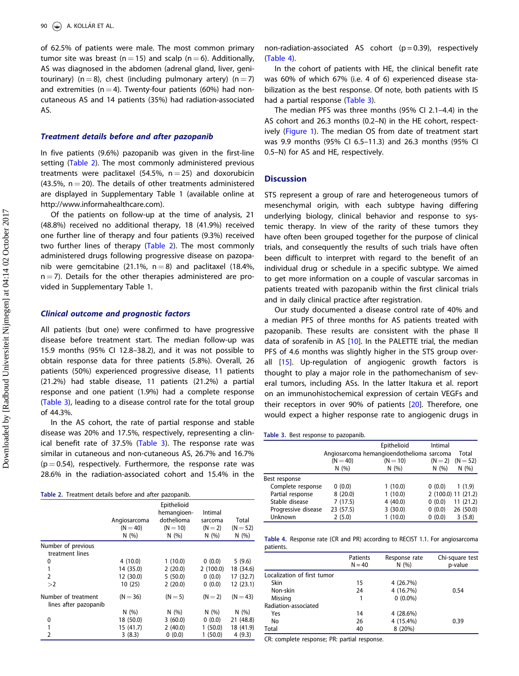<span id="page-3-0"></span>of 62.5% of patients were male. The most common primary tumor site was breast ( $n = 15$ ) and scalp ( $n = 6$ ). Additionally, AS was diagnosed in the abdomen (adrenal gland, liver, genitourinary) (n = 8), chest (including pulmonary artery) (n = 7) and extremities ( $n = 4$ ). Twenty-four patients (60%) had noncutaneous AS and 14 patients (35%) had radiation-associated AS.

#### Treatment details before and after pazopanib

In five patients (9.6%) pazopanib was given in the first-line setting (Table 2). The most commonly administered previous treatments were paclitaxel (54.5%,  $n = 25$ ) and doxorubicin  $(43.5\%$ , n  $= 20$ ). The details of other treatments administered are displayed in [Supplementary Table 1](http://www.informahealthcare.com) (available online at http://www.informahealthcare.com).

Of the patients on follow-up at the time of analysis, 21 (48.8%) received no additional therapy, 18 (41.9%) received one further line of therapy and four patients (9.3%) received two further lines of therapy (Table 2). The most commonly administered drugs following progressive disease on pazopanib were gemcitabine (21.1%,  $n = 8$ ) and paclitaxel (18.4%,  $n = 7$ ). Details for the other therapies administered are provided in [Supplementary Table 1](http://dx.doi.org/10.1080/0284186X.2016.1234068).

# Clinical outcome and prognostic factors

All patients (but one) were confirmed to have progressive disease before treatment start. The median follow-up was 15.9 months (95% CI 12.8–38.2), and it was not possible to obtain response data for three patients (5.8%). Overall, 26 patients (50%) experienced progressive disease, 11 patients (21.2%) had stable disease, 11 patients (21.2%) a partial response and one patient (1.9%) had a complete response (Table 3), leading to a disease control rate for the total group of 44.3%.

In the AS cohort, the rate of partial response and stable disease was 20% and 17.5%, respectively, representing a clinical benefit rate of 37.5% (Table 3). The response rate was similar in cutaneous and non-cutaneous AS, 26.7% and 16.7%  $(p = 0.54)$ , respectively. Furthermore, the response rate was 28.6% in the radiation-associated cohort and 15.4% in the

| Table 2. Treatment details before and after pazopanib. |  |  |   |  |
|--------------------------------------------------------|--|--|---|--|
|                                                        |  |  | _ |  |

|                                              | Angiosarcoma<br>$(N = 40)$<br>N(%) | Epithelioid<br>hemangioen-<br>dothelioma<br>$(N = 10)$<br>N(%) | Intimal<br>sarcoma<br>$(N=2)$<br>N(%) | Total<br>$(N = 52)$<br>N(%) |
|----------------------------------------------|------------------------------------|----------------------------------------------------------------|---------------------------------------|-----------------------------|
| Number of previous                           |                                    |                                                                |                                       |                             |
| treatment lines                              |                                    |                                                                |                                       |                             |
| 0                                            | 4(10.0)                            | 1(10.0)                                                        | 0(0.0)                                | 5(9.6)                      |
| 1                                            | 14 (35.0)                          | 2(20.0)                                                        | 2(100.0)                              | 18 (34.6)                   |
| $\mathfrak{p}$                               | 12 (30.0)                          | 5(50.0)                                                        | 0(0.0)                                | 17 (32.7)                   |
| >2                                           | 10(25)                             | 2(20.0)                                                        | 0(0.0)                                | 12 (23.1)                   |
| Number of treatment<br>lines after pazopanib | $(N = 36)$                         | $(N=5)$                                                        | $(N=2)$                               | $(N = 43)$                  |
|                                              | N(%)                               | N(96)                                                          | N(%)                                  | N(%)                        |
| 0                                            | 18 (50.0)                          | 3(60.0)                                                        | 0(0.0)                                | 21 (48.8)                   |
|                                              | 15 (41.7)                          | 2(40.0)                                                        | 1(50.0)                               | 18 (41.9)                   |
| 2                                            | 3(8.3)                             | 0(0.0)                                                         | 1(50.0)                               | 4(9.3)                      |

non-radiation-associated AS cohort  $(p = 0.39)$ , respectively (Table 4).

In the cohort of patients with HE, the clinical benefit rate was 60% of which 67% (i.e. 4 of 6) experienced disease stabilization as the best response. Of note, both patients with IS had a partial response (Table 3).

The median PFS was three months (95% CI 2.1–4.4) in the AS cohort and 26.3 months (0.2–N) in the HE cohort, respectively [\(Figure 1](#page-4-0)). The median OS from date of treatment start was 9.9 months (95% CI 6.5–11.3) and 26.3 months (95% CI 0.5–N) for AS and HE, respectively.

# **Discussion**

STS represent a group of rare and heterogeneous tumors of mesenchymal origin, with each subtype having differing underlying biology, clinical behavior and response to systemic therapy. In view of the rarity of these tumors they have often been grouped together for the purpose of clinical trials, and consequently the results of such trials have often been difficult to interpret with regard to the benefit of an individual drug or schedule in a specific subtype. We aimed to get more information on a couple of vascular sarcomas in patients treated with pazopanib within the first clinical trials and in daily clinical practice after registration.

Our study documented a disease control rate of 40% and a median PFS of three months for AS patients treated with pazopanib. These results are consistent with the phase II data of sorafenib in AS [\[10](#page-5-0)]. In the PALETTE trial, the median PFS of 4.6 months was slightly higher in the STS group over-all [\[15](#page-5-0)]. Up-regulation of angiogenic growth factors is thought to play a major role in the pathomechanism of several tumors, including ASs. In the latter Itakura et al. report on an immunohistochemical expression of certain VEGFs and their receptors in over 90% of patients [[20\]](#page-5-0). Therefore, one would expect a higher response rate to angiogenic drugs in

Table 3. Best response to pazopanib.

|                     |            | Epithelioid<br>Angiosarcoma hemangioendothelioma sarcoma | Intimal | Total               |
|---------------------|------------|----------------------------------------------------------|---------|---------------------|
|                     | $(N = 40)$ | $(N = 10)$                                               | $(N=2)$ | $(N = 52)$          |
|                     | N(%)       | N(%)                                                     | N(%)    | N(%)                |
| Best response       |            |                                                          |         |                     |
| Complete response   | 0(0.0)     | 1(10.0)                                                  | 0(0.0)  | 1(1.9)              |
| Partial response    | 8(20.0)    | 1(10.0)                                                  |         | 2 (100.0) 11 (21.2) |
| Stable disease      | 7(17.5)    | 4(40.0)                                                  | 0(0.0)  | 11(21.2)            |
| Progressive disease | 23 (57.5)  | 3(30.0)                                                  | 0(0.0)  | 26 (50.0)           |
| Unknown             | 2(5.0)     | 1(10.0)                                                  | 0(0.0)  | 3(5.8)              |

Table 4. Response rate (CR and PR) according to RECIST 1.1. For angiosarcoma patients.

|                             | Patients<br>$N = 40$ | Response rate<br>N(%) | Chi-square test<br>p-value |
|-----------------------------|----------------------|-----------------------|----------------------------|
| Localization of first tumor |                      |                       |                            |
| Skin                        | 15                   | 4 (26.7%)             |                            |
| Non-skin                    | 24                   | 4 (16.7%)             | 0.54                       |
| Missing                     |                      | $0(0.0\%)$            |                            |
| Radiation-associated        |                      |                       |                            |
| Yes                         | 14                   | 4 (28.6%)             |                            |
| No                          | 26                   | 4 (15.4%)             | 0.39                       |
| Total                       | 40                   | 8 (20%)               |                            |

CR: complete response; PR: partial response.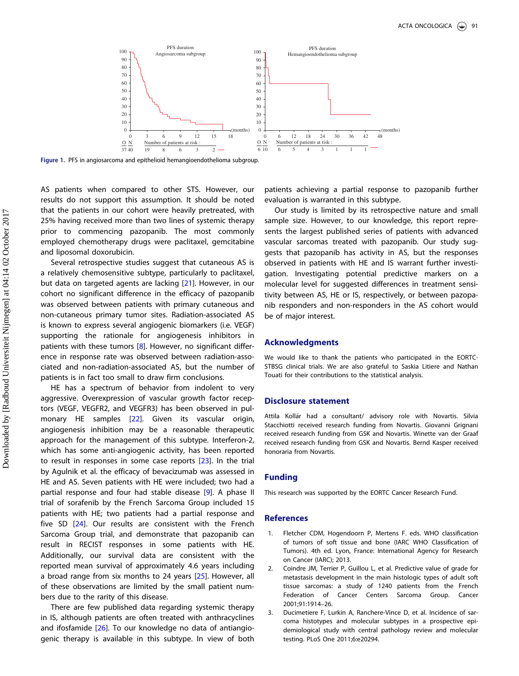<span id="page-4-0"></span>

Figure 1. PFS in angiosarcoma and epithelioid hemangioendothelioma subgroup.

AS patients when compared to other STS. However, our results do not support this assumption. It should be noted that the patients in our cohort were heavily pretreated, with 25% having received more than two lines of systemic therapy prior to commencing pazopanib. The most commonly employed chemotherapy drugs were paclitaxel, gemcitabine and liposomal doxorubicin.

Several retrospective studies suggest that cutaneous AS is a relatively chemosensitive subtype, particularly to paclitaxel, but data on targeted agents are lacking [\[21\]](#page-5-0). However, in our cohort no significant difference in the efficacy of pazopanib was observed between patients with primary cutaneous and non-cutaneous primary tumor sites. Radiation-associated AS is known to express several angiogenic biomarkers (i.e. VEGF) supporting the rationale for angiogenesis inhibitors in patients with these tumors [\[8](#page-5-0)]. However, no significant difference in response rate was observed between radiation-associated and non-radiation-associated AS, but the number of patients is in fact too small to draw firm conclusions.

HE has a spectrum of behavior from indolent to very aggressive. Overexpression of vascular growth factor receptors (VEGF, VEGFR2, and VEGFR3) has been observed in pul-monary HE samples [\[22](#page-5-0)]. Given its vascular origin, angiogenesis inhibition may be a reasonable therapeutic approach for the management of this subtype. Interferon-2, which has some anti-angiogenic activity, has been reported to result in responses in some case reports [\[23\]](#page-5-0). In the trial by Agulnik et al. the efficacy of bevacizumab was assessed in HE and AS. Seven patients with HE were included; two had a partial response and four had stable disease [[9\]](#page-5-0). A phase II trial of sorafenib by the French Sarcoma Group included 15 patients with HE; two patients had a partial response and five SD [\[24](#page-5-0)]. Our results are consistent with the French Sarcoma Group trial, and demonstrate that pazopanib can result in RECIST responses in some patients with HE. Additionally, our survival data are consistent with the reported mean survival of approximately 4.6 years including a broad range from six months to 24 years [\[25\]](#page-5-0). However, all of these observations are limited by the small patient numbers due to the rarity of this disease.

There are few published data regarding systemic therapy in IS, although patients are often treated with anthracyclines and ifosfamide [\[26](#page-5-0)]. To our knowledge no data of antiangiogenic therapy is available in this subtype. In view of both patients achieving a partial response to pazopanib further evaluation is warranted in this subtype.

Our study is limited by its retrospective nature and small sample size. However, to our knowledge, this report represents the largest published series of patients with advanced vascular sarcomas treated with pazopanib. Our study suggests that pazopanib has activity in AS, but the responses observed in patients with HE and IS warrant further investigation. Investigating potential predictive markers on a molecular level for suggested differences in treatment sensitivity between AS, HE or IS, respectively, or between pazopanib responders and non-responders in the AS cohort would be of major interest.

#### Acknowledgments

We would like to thank the patients who participated in the EORTC-STBSG clinical trials. We are also grateful to Saskia Litiere and Nathan Touati for their contributions to the statistical analysis.

# Disclosure statement

Attila Kollár had a consultant/ advisory role with Novartis. Silvia Stacchiotti received research funding from Novartis. Giovanni Grignani received research funding from GSK and Novartis. Winette van der Graaf received research funding from GSK and Novartis. Bernd Kasper received honoraria from Novartis.

#### Funding

This research was supported by the EORTC Cancer Research Fund.

# References

- [1. F](#page-1-0)letcher CDM, Hogendoorn P, Mertens F. eds. WHO classification of tumors of soft tissue and bone (IARC WHO Classification of Tumors). 4th ed. Lyon, France: International Agency for Research on Cancer (IARC); 2013.
- [2. C](#page-1-0)oindre JM, Terrier P, Guillou L, et al. Predictive value of grade for metastasis development in the main histologic types of adult soft tissue sarcomas: a study of 1240 patients from the French Federation of Cancer Centers Sarcoma Group. Cancer 2001;91:1914–26.
- [3. D](#page-1-0)ucimetiere F, Lurkin A, Ranchere-Vince D, et al. Incidence of sarcoma histotypes and molecular subtypes in a prospective epidemiological study with central pathology review and molecular testing. PLoS One 2011;6:e20294.